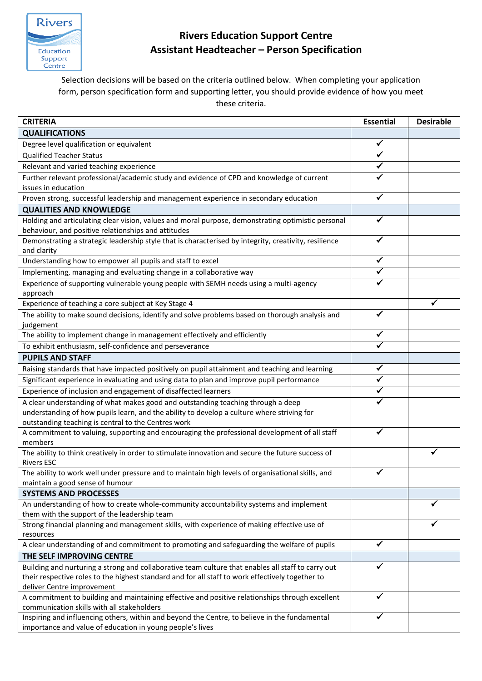

## **Rivers Education Support Centre Assistant Headteacher – Person Specification**

Selection decisions will be based on the criteria outlined below. When completing your application form, person specification form and supporting letter, you should provide evidence of how you meet these criteria.

| <b>CRITERIA</b>                                                                                                        | <b>Essential</b> | <b>Desirable</b> |
|------------------------------------------------------------------------------------------------------------------------|------------------|------------------|
| <b>QUALIFICATIONS</b>                                                                                                  |                  |                  |
| Degree level qualification or equivalent                                                                               | ✓                |                  |
| <b>Qualified Teacher Status</b>                                                                                        | $\checkmark$     |                  |
| Relevant and varied teaching experience                                                                                | ✓                |                  |
| Further relevant professional/academic study and evidence of CPD and knowledge of current                              |                  |                  |
| issues in education                                                                                                    |                  |                  |
| Proven strong, successful leadership and management experience in secondary education                                  | ✓                |                  |
| <b>QUALITIES AND KNOWLEDGE</b>                                                                                         |                  |                  |
| Holding and articulating clear vision, values and moral purpose, demonstrating optimistic personal                     |                  |                  |
| behaviour, and positive relationships and attitudes                                                                    |                  |                  |
| Demonstrating a strategic leadership style that is characterised by integrity, creativity, resilience                  |                  |                  |
| and clarity                                                                                                            |                  |                  |
| Understanding how to empower all pupils and staff to excel                                                             |                  |                  |
| Implementing, managing and evaluating change in a collaborative way                                                    | ✓                |                  |
| Experience of supporting vulnerable young people with SEMH needs using a multi-agency                                  |                  |                  |
| approach                                                                                                               |                  |                  |
| Experience of teaching a core subject at Key Stage 4                                                                   |                  |                  |
| The ability to make sound decisions, identify and solve problems based on thorough analysis and                        |                  |                  |
| judgement                                                                                                              |                  |                  |
| The ability to implement change in management effectively and efficiently                                              | ✔                |                  |
| To exhibit enthusiasm, self-confidence and perseverance                                                                |                  |                  |
| <b>PUPILS AND STAFF</b>                                                                                                |                  |                  |
| Raising standards that have impacted positively on pupil attainment and teaching and learning                          | ✓                |                  |
| Significant experience in evaluating and using data to plan and improve pupil performance                              | $\checkmark$     |                  |
| Experience of inclusion and engagement of disaffected learners                                                         |                  |                  |
| A clear understanding of what makes good and outstanding teaching through a deep                                       |                  |                  |
| understanding of how pupils learn, and the ability to develop a culture where striving for                             |                  |                  |
| outstanding teaching is central to the Centres work                                                                    |                  |                  |
| A commitment to valuing, supporting and encouraging the professional development of all staff                          | ✓                |                  |
| members                                                                                                                |                  |                  |
| The ability to think creatively in order to stimulate innovation and secure the future success of<br><b>Rivers ESC</b> |                  |                  |
| The ability to work well under pressure and to maintain high levels of organisational skills, and                      | ✔                |                  |
| maintain a good sense of humour                                                                                        |                  |                  |
| <b>SYSTEMS AND PROCESSES</b>                                                                                           |                  |                  |
| An understanding of how to create whole-community accountability systems and implement                                 |                  |                  |
| them with the support of the leadership team                                                                           |                  |                  |
| Strong financial planning and management skills, with experience of making effective use of                            |                  |                  |
| resources                                                                                                              |                  |                  |
| A clear understanding of and commitment to promoting and safeguarding the welfare of pupils                            | ✓                |                  |
| THE SELF IMPROVING CENTRE                                                                                              |                  |                  |
| Building and nurturing a strong and collaborative team culture that enables all staff to carry out                     |                  |                  |
| their respective roles to the highest standard and for all staff to work effectively together to                       |                  |                  |
| deliver Centre improvement                                                                                             |                  |                  |
| A commitment to building and maintaining effective and positive relationships through excellent                        | ✔                |                  |
| communication skills with all stakeholders                                                                             |                  |                  |
| Inspiring and influencing others, within and beyond the Centre, to believe in the fundamental                          | ✔                |                  |
| importance and value of education in young people's lives                                                              |                  |                  |